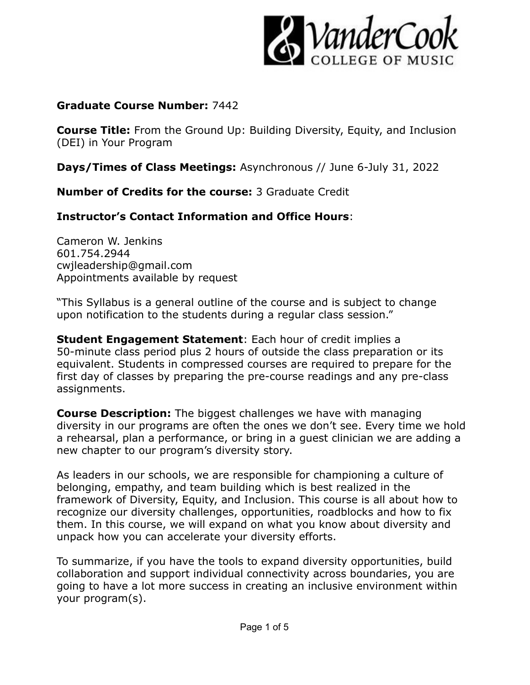

#### **Graduate Course Number:** 7442

**Course Title:** From the Ground Up: Building Diversity, Equity, and Inclusion (DEI) in Your Program

**Days/Times of Class Meetings:** Asynchronous // June 6-July 31, 2022

**Number of Credits for the course:** 3 Graduate Credit

# **Instructor's Contact Information and Office Hours**:

Cameron W. Jenkins 601.754.2944 cwjleadership@gmail.com Appointments available by request

"This Syllabus is a general outline of the course and is subject to change upon notification to the students during a regular class session."

**Student Engagement Statement**: Each hour of credit implies a 50-minute class period plus 2 hours of outside the class preparation or its equivalent. Students in compressed courses are required to prepare for the first day of classes by preparing the pre-course readings and any pre-class assignments.

**Course Description:** The biggest challenges we have with managing diversity in our programs are often the ones we don't see. Every time we hold a rehearsal, plan a performance, or bring in a guest clinician we are adding a new chapter to our program's diversity story.

As leaders in our schools, we are responsible for championing a culture of belonging, empathy, and team building which is best realized in the framework of Diversity, Equity, and Inclusion. This course is all about how to recognize our diversity challenges, opportunities, roadblocks and how to fix them. In this course, we will expand on what you know about diversity and unpack how you can accelerate your diversity efforts.

To summarize, if you have the tools to expand diversity opportunities, build collaboration and support individual connectivity across boundaries, you are going to have a lot more success in creating an inclusive environment within your program(s).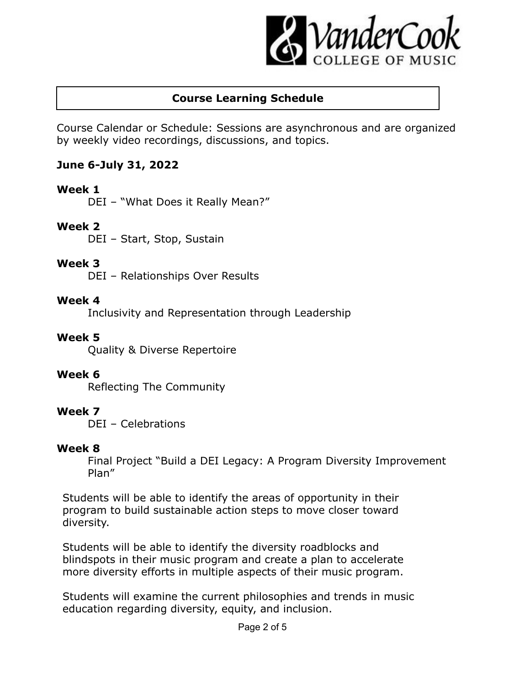

# **Course Learning Schedule**

Course Calendar or Schedule: Sessions are asynchronous and are organized by weekly video recordings, discussions, and topics.

## **June 6-July 31, 2022**

## **Week 1**

DEI – "What Does it Really Mean?"

## **Week 2**

DEI – Start, Stop, Sustain

#### **Week 3**

DEI – Relationships Over Results

#### **Week 4**

Inclusivity and Representation through Leadership

#### **Week 5**

Quality & Diverse Repertoire

## **Week 6**

Reflecting The Community

## **Week 7**

DEI – Celebrations

## **Week 8**

Final Project "Build a DEI Legacy: A Program Diversity Improvement Plan"

Students will be able to identify the areas of opportunity in their program to build sustainable action steps to move closer toward diversity.

Students will be able to identify the diversity roadblocks and blindspots in their music program and create a plan to accelerate more diversity efforts in multiple aspects of their music program.

Students will examine the current philosophies and trends in music education regarding diversity, equity, and inclusion.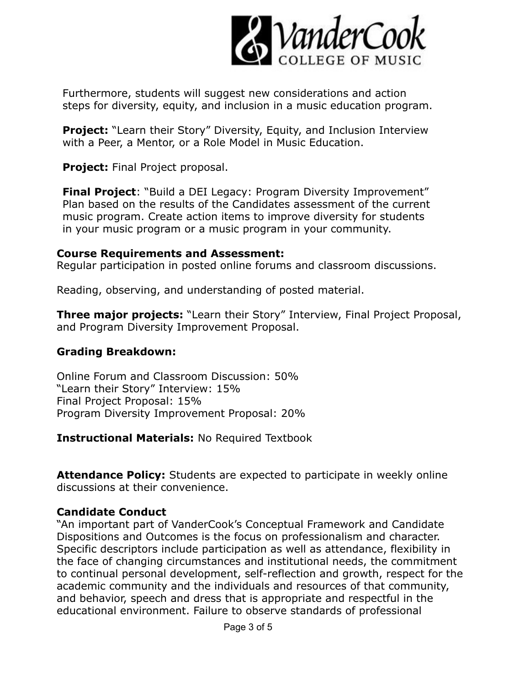

Furthermore, students will suggest new considerations and action steps for diversity, equity, and inclusion in a music education program.

**Project:** "Learn their Story" Diversity, Equity, and Inclusion Interview with a Peer, a Mentor, or a Role Model in Music Education.

**Project:** Final Project proposal.

**Final Project**: "Build a DEI Legacy: Program Diversity Improvement" Plan based on the results of the Candidates assessment of the current music program. Create action items to improve diversity for students in your music program or a music program in your community.

#### **Course Requirements and Assessment:**

Regular participation in posted online forums and classroom discussions.

Reading, observing, and understanding of posted material.

**Three major projects:** "Learn their Story" Interview, Final Project Proposal, and Program Diversity Improvement Proposal.

## **Grading Breakdown:**

Online Forum and Classroom Discussion: 50% "Learn their Story" Interview: 15% Final Project Proposal: 15% Program Diversity Improvement Proposal: 20%

**Instructional Materials:** No Required Textbook

**Attendance Policy:** Students are expected to participate in weekly online discussions at their convenience.

# **Candidate Conduct**

"An important part of VanderCook's Conceptual Framework and Candidate Dispositions and Outcomes is the focus on professionalism and character. Specific descriptors include participation as well as attendance, flexibility in the face of changing circumstances and institutional needs, the commitment to continual personal development, self-reflection and growth, respect for the academic community and the individuals and resources of that community, and behavior, speech and dress that is appropriate and respectful in the educational environment. Failure to observe standards of professional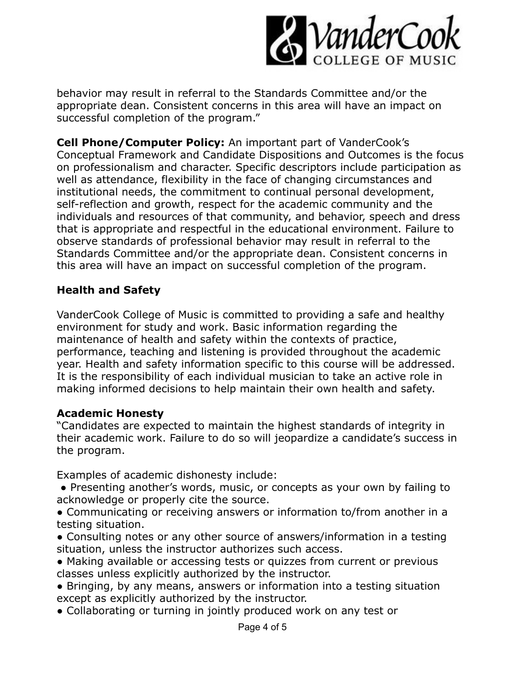

behavior may result in referral to the Standards Committee and/or the appropriate dean. Consistent concerns in this area will have an impact on successful completion of the program."

**Cell Phone/Computer Policy:** An important part of VanderCook's Conceptual Framework and Candidate Dispositions and Outcomes is the focus on professionalism and character. Specific descriptors include participation as well as attendance, flexibility in the face of changing circumstances and institutional needs, the commitment to continual personal development, self-reflection and growth, respect for the academic community and the individuals and resources of that community, and behavior, speech and dress that is appropriate and respectful in the educational environment. Failure to observe standards of professional behavior may result in referral to the Standards Committee and/or the appropriate dean. Consistent concerns in this area will have an impact on successful completion of the program.

#### **Health and Safety**

VanderCook College of Music is committed to providing a safe and healthy environment for study and work. Basic information regarding the maintenance of health and safety within the contexts of practice, performance, teaching and listening is provided throughout the academic year. Health and safety information specific to this course will be addressed. It is the responsibility of each individual musician to take an active role in making informed decisions to help maintain their own health and safety.

## **Academic Honesty**

"Candidates are expected to maintain the highest standards of integrity in their academic work. Failure to do so will jeopardize a candidate's success in the program.

Examples of academic dishonesty include:

- Presenting another's words, music, or concepts as your own by failing to acknowledge or properly cite the source.
- Communicating or receiving answers or information to/from another in a testing situation.
- Consulting notes or any other source of answers/information in a testing situation, unless the instructor authorizes such access.
- Making available or accessing tests or quizzes from current or previous classes unless explicitly authorized by the instructor.
- Bringing, by any means, answers or information into a testing situation except as explicitly authorized by the instructor.
- Collaborating or turning in jointly produced work on any test or